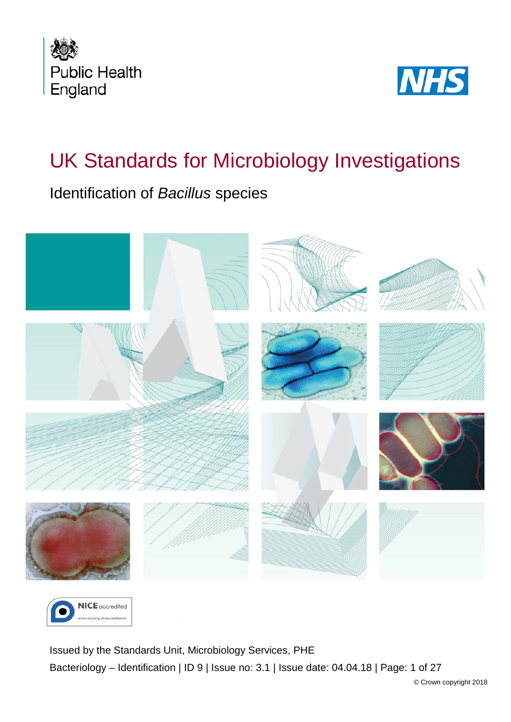



# UK Standards for Microbiology Investigations

Identification of *Bacillus* species





<span id="page-0-0"></span>Issued by the Standards Unit, Microbiology Services, PHE Bacteriology – Identification | ID 9 | Issue no: 3.1 | Issue date: 04.04.18 | Page: 1 of 27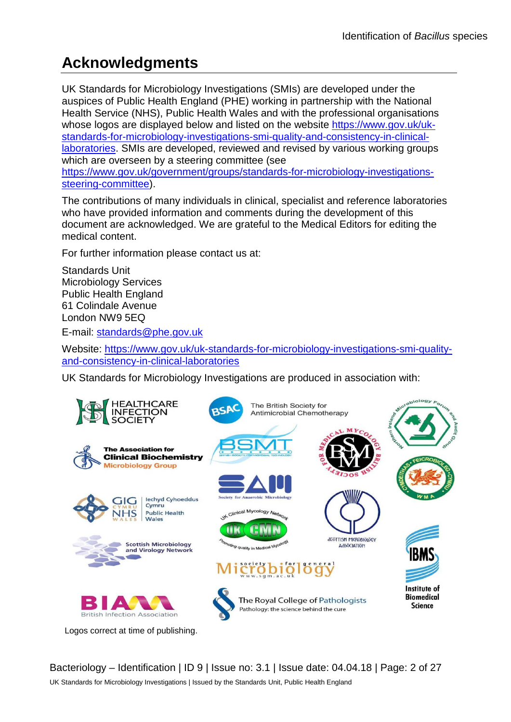## **Acknowledgments**

UK Standards for Microbiology Investigations (SMIs) are developed under the auspices of Public Health England (PHE) working in partnership with the National Health Service (NHS), Public Health Wales and with the professional organisations whose logos are displayed below and listed on the website [https://www.gov.uk/uk](https://www.gov.uk/uk-standards-for-microbiology-investigations-smi-quality-and-consistency-in-clinical-laboratories)[standards-for-microbiology-investigations-smi-quality-and-consistency-in-clinical](https://www.gov.uk/uk-standards-for-microbiology-investigations-smi-quality-and-consistency-in-clinical-laboratories)[laboratories.](https://www.gov.uk/uk-standards-for-microbiology-investigations-smi-quality-and-consistency-in-clinical-laboratories) SMIs are developed, reviewed and revised by various working groups which are overseen by a steering committee (see [https://www.gov.uk/government/groups/standards-for-microbiology-investigations](https://www.gov.uk/government/groups/standards-for-microbiology-investigations-steering-committee)[steering-committee\)](https://www.gov.uk/government/groups/standards-for-microbiology-investigations-steering-committee).

The contributions of many individuals in clinical, specialist and reference laboratories who have provided information and comments during the development of this document are acknowledged. We are grateful to the Medical Editors for editing the medical content.

For further information please contact us at:

Standards Unit Microbiology Services Public Health England 61 Colindale Avenue London NW9 5EQ

E-mail: [standards@phe.gov.uk](mailto:standards@phe.gov.uk)

Website: [https://www.gov.uk/uk-standards-for-microbiology-investigations-smi-quality](https://www.gov.uk/uk-standards-for-microbiology-investigations-smi-quality-and-consistency-in-clinical-laboratories)[and-consistency-in-clinical-laboratories](https://www.gov.uk/uk-standards-for-microbiology-investigations-smi-quality-and-consistency-in-clinical-laboratories)

UK Standards for Microbiology Investigations are produced in association with:



Bacteriology – Identification | ID 9 | Issue no: 3.1 | Issue date: 04.04.18 | Page: 2 of 27 UK Standards for Microbiology Investigations | Issued by the Standards Unit, Public Health England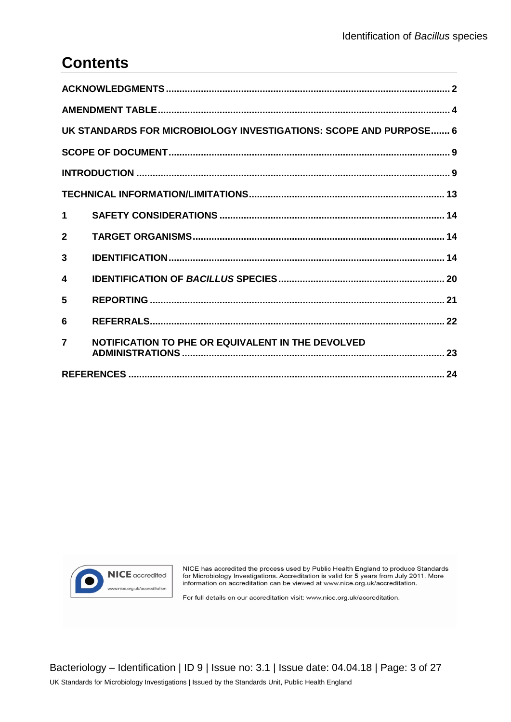## **Contents**

|                  | UK STANDARDS FOR MICROBIOLOGY INVESTIGATIONS: SCOPE AND PURPOSE 6 |  |  |  |  |
|------------------|-------------------------------------------------------------------|--|--|--|--|
|                  |                                                                   |  |  |  |  |
|                  |                                                                   |  |  |  |  |
|                  |                                                                   |  |  |  |  |
| $\mathbf 1$      |                                                                   |  |  |  |  |
| $\mathbf{2}$     |                                                                   |  |  |  |  |
| 3                |                                                                   |  |  |  |  |
| $\boldsymbol{4}$ |                                                                   |  |  |  |  |
| 5                |                                                                   |  |  |  |  |
| 6                |                                                                   |  |  |  |  |
| $\overline{7}$   | NOTIFICATION TO PHE OR EQUIVALENT IN THE DEVOLVED                 |  |  |  |  |
|                  |                                                                   |  |  |  |  |



NICE has accredited the process used by Public Health England to produce Standards<br>for Microbiology Investigations. Accreditation is valid for 5 years from July 2011. More<br>information on accreditation can be viewed at www.

For full details on our accreditation visit: www.nice.org.uk/accreditation.

Bacteriology - Identification | ID 9 | Issue no: 3.1 | Issue date: 04.04.18 | Page: 3 of 27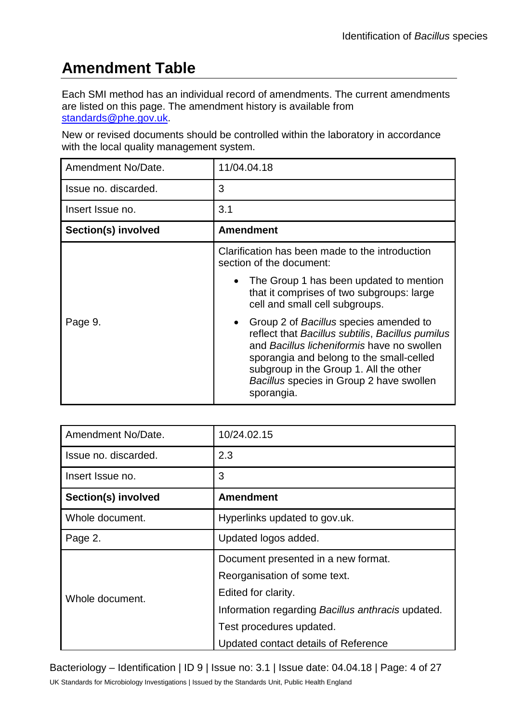## **Amendment Table**

Each SMI method has an individual record of amendments. The current amendments are listed on this page. The amendment history is available from [standards@phe.gov.uk.](mailto:standards@phe.gov.uk)

New or revised documents should be controlled within the laboratory in accordance with the local quality management system.

| Amendment No/Date.   | 11/04.04.18                                                                                                                                                                                                                                                                                           |  |  |  |
|----------------------|-------------------------------------------------------------------------------------------------------------------------------------------------------------------------------------------------------------------------------------------------------------------------------------------------------|--|--|--|
| Issue no. discarded. | 3                                                                                                                                                                                                                                                                                                     |  |  |  |
| Insert Issue no.     | 3.1                                                                                                                                                                                                                                                                                                   |  |  |  |
| Section(s) involved  | <b>Amendment</b>                                                                                                                                                                                                                                                                                      |  |  |  |
|                      | Clarification has been made to the introduction<br>section of the document:                                                                                                                                                                                                                           |  |  |  |
|                      | • The Group 1 has been updated to mention<br>that it comprises of two subgroups: large<br>cell and small cell subgroups.                                                                                                                                                                              |  |  |  |
| Page 9.              | Group 2 of Bacillus species amended to<br>$\bullet$<br>reflect that Bacillus subtilis, Bacillus pumilus<br>and Bacillus licheniformis have no swollen<br>sporangia and belong to the small-celled<br>subgroup in the Group 1. All the other<br>Bacillus species in Group 2 have swollen<br>sporangia. |  |  |  |

| Amendment No/Date.   | 10/24.02.15                                       |  |  |
|----------------------|---------------------------------------------------|--|--|
| Issue no. discarded. | 2.3                                               |  |  |
| Insert Issue no.     | 3                                                 |  |  |
| Section(s) involved  | <b>Amendment</b>                                  |  |  |
| Whole document.      | Hyperlinks updated to gov.uk.                     |  |  |
| Page 2.              | Updated logos added.                              |  |  |
|                      | Document presented in a new format.               |  |  |
|                      | Reorganisation of some text.                      |  |  |
| Whole document.      | Edited for clarity.                               |  |  |
|                      | Information regarding Bacillus anthracis updated. |  |  |
|                      | Test procedures updated.                          |  |  |
|                      | Updated contact details of Reference              |  |  |

Bacteriology – Identification | ID 9 | Issue no: 3.1 | Issue date: 04.04.18 | Page: 4 of 27

UK Standards for Microbiology Investigations | Issued by the Standards Unit, Public Health England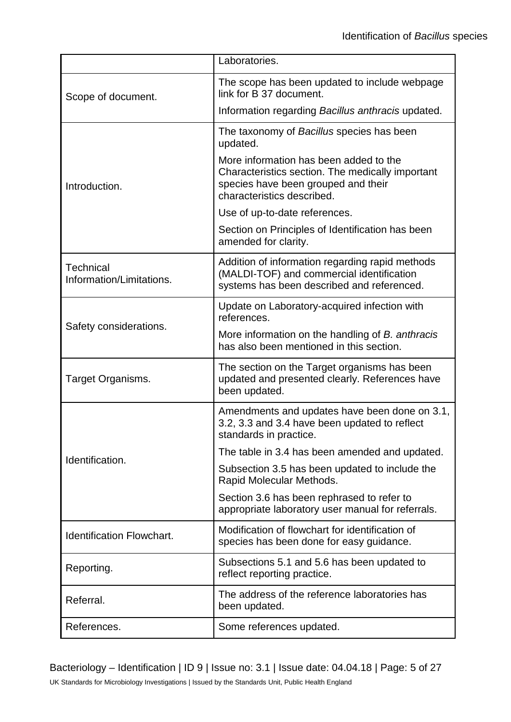|                                              | Laboratories.                                                                                                                                                   |  |  |  |
|----------------------------------------------|-----------------------------------------------------------------------------------------------------------------------------------------------------------------|--|--|--|
| Scope of document.                           | The scope has been updated to include webpage<br>link for B 37 document.                                                                                        |  |  |  |
|                                              | Information regarding Bacillus anthracis updated.                                                                                                               |  |  |  |
|                                              | The taxonomy of Bacillus species has been<br>updated.                                                                                                           |  |  |  |
| Introduction.                                | More information has been added to the<br>Characteristics section. The medically important<br>species have been grouped and their<br>characteristics described. |  |  |  |
|                                              | Use of up-to-date references.                                                                                                                                   |  |  |  |
|                                              | Section on Principles of Identification has been<br>amended for clarity.                                                                                        |  |  |  |
| <b>Technical</b><br>Information/Limitations. | Addition of information regarding rapid methods<br>(MALDI-TOF) and commercial identification<br>systems has been described and referenced.                      |  |  |  |
|                                              | Update on Laboratory-acquired infection with<br>references.                                                                                                     |  |  |  |
| Safety considerations.                       | More information on the handling of B. anthracis<br>has also been mentioned in this section.                                                                    |  |  |  |
| Target Organisms.                            | The section on the Target organisms has been<br>updated and presented clearly. References have<br>been updated.                                                 |  |  |  |
|                                              | Amendments and updates have been done on 3.1,<br>3.2, 3.3 and 3.4 have been updated to reflect<br>standards in practice.                                        |  |  |  |
| Identification.                              | The table in 3.4 has been amended and updated.                                                                                                                  |  |  |  |
|                                              | Subsection 3.5 has been updated to include the<br>Rapid Molecular Methods.                                                                                      |  |  |  |
|                                              | Section 3.6 has been rephrased to refer to<br>appropriate laboratory user manual for referrals.                                                                 |  |  |  |
| Identification Flowchart.                    | Modification of flowchart for identification of<br>species has been done for easy guidance.                                                                     |  |  |  |
| Reporting.                                   | Subsections 5.1 and 5.6 has been updated to<br>reflect reporting practice.                                                                                      |  |  |  |
| Referral.                                    | The address of the reference laboratories has<br>been updated.                                                                                                  |  |  |  |
| References.                                  | Some references updated.                                                                                                                                        |  |  |  |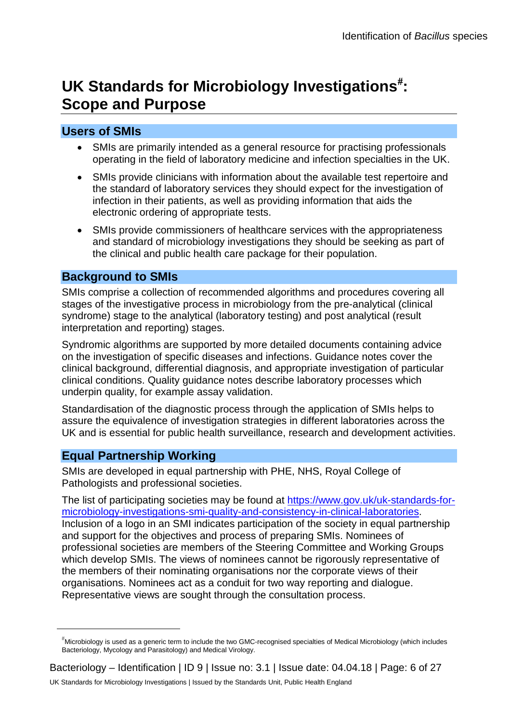## UK Standards for Microbiology Investigations<sup>[#](#page-0-0)</sup>: **Scope and Purpose**

### **Users of SMIs**

- SMIs are primarily intended as a general resource for practising professionals operating in the field of laboratory medicine and infection specialties in the UK.
- SMIs provide clinicians with information about the available test repertoire and the standard of laboratory services they should expect for the investigation of infection in their patients, as well as providing information that aids the electronic ordering of appropriate tests.
- SMIs provide commissioners of healthcare services with the appropriateness and standard of microbiology investigations they should be seeking as part of the clinical and public health care package for their population.

### **Background to SMIs**

SMIs comprise a collection of recommended algorithms and procedures covering all stages of the investigative process in microbiology from the pre-analytical (clinical syndrome) stage to the analytical (laboratory testing) and post analytical (result interpretation and reporting) stages.

Syndromic algorithms are supported by more detailed documents containing advice on the investigation of specific diseases and infections. Guidance notes cover the clinical background, differential diagnosis, and appropriate investigation of particular clinical conditions. Quality guidance notes describe laboratory processes which underpin quality, for example assay validation.

Standardisation of the diagnostic process through the application of SMIs helps to assure the equivalence of investigation strategies in different laboratories across the UK and is essential for public health surveillance, research and development activities.

### **Equal Partnership Working**

 $\overline{a}$ 

SMIs are developed in equal partnership with PHE, NHS, Royal College of Pathologists and professional societies.

The list of participating societies may be found at [https://www.gov.uk/uk-standards-for](https://www.gov.uk/uk-standards-for-microbiology-investigations-smi-quality-and-consistency-in-clinical-laboratories)[microbiology-investigations-smi-quality-and-consistency-in-clinical-laboratories.](https://www.gov.uk/uk-standards-for-microbiology-investigations-smi-quality-and-consistency-in-clinical-laboratories) Inclusion of a logo in an SMI indicates participation of the society in equal partnership and support for the objectives and process of preparing SMIs. Nominees of professional societies are members of the Steering Committee and Working Groups which develop SMIs. The views of nominees cannot be rigorously representative of the members of their nominating organisations nor the corporate views of their organisations. Nominees act as a conduit for two way reporting and dialogue. Representative views are sought through the consultation process.

<sup>#</sup> Microbiology is used as a generic term to include the two GMC-recognised specialties of Medical Microbiology (which includes Bacteriology, Mycology and Parasitology) and Medical Virology.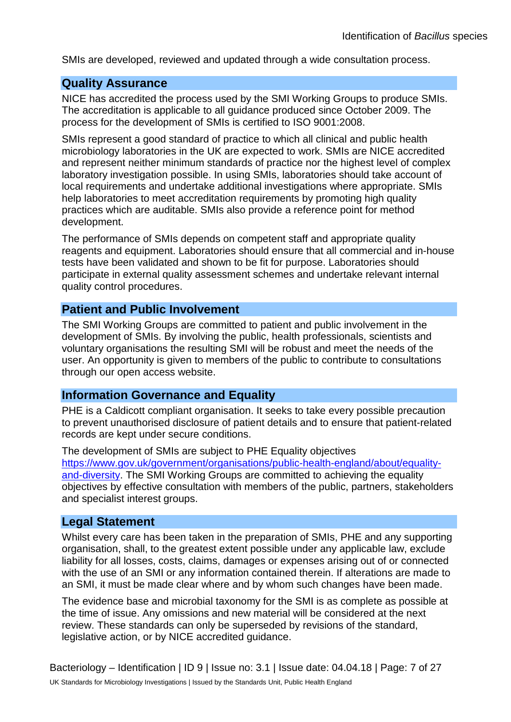SMIs are developed, reviewed and updated through a wide consultation process.

#### **Quality Assurance**

NICE has accredited the process used by the SMI Working Groups to produce SMIs. The accreditation is applicable to all guidance produced since October 2009. The process for the development of SMIs is certified to ISO 9001:2008.

SMIs represent a good standard of practice to which all clinical and public health microbiology laboratories in the UK are expected to work. SMIs are NICE accredited and represent neither minimum standards of practice nor the highest level of complex laboratory investigation possible. In using SMIs, laboratories should take account of local requirements and undertake additional investigations where appropriate. SMIs help laboratories to meet accreditation requirements by promoting high quality practices which are auditable. SMIs also provide a reference point for method development.

The performance of SMIs depends on competent staff and appropriate quality reagents and equipment. Laboratories should ensure that all commercial and in-house tests have been validated and shown to be fit for purpose. Laboratories should participate in external quality assessment schemes and undertake relevant internal quality control procedures.

#### **Patient and Public Involvement**

The SMI Working Groups are committed to patient and public involvement in the development of SMIs. By involving the public, health professionals, scientists and voluntary organisations the resulting SMI will be robust and meet the needs of the user. An opportunity is given to members of the public to contribute to consultations through our open access website.

#### **Information Governance and Equality**

PHE is a Caldicott compliant organisation. It seeks to take every possible precaution to prevent unauthorised disclosure of patient details and to ensure that patient-related records are kept under secure conditions.

The development of SMIs are subject to PHE Equality objectives [https://www.gov.uk/government/organisations/public-health-england/about/equality](https://www.gov.uk/government/organisations/public-health-england/about/equality-and-diversity)[and-diversity.](https://www.gov.uk/government/organisations/public-health-england/about/equality-and-diversity) The SMI Working Groups are committed to achieving the equality objectives by effective consultation with members of the public, partners, stakeholders and specialist interest groups.

#### **Legal Statement**

Whilst every care has been taken in the preparation of SMIs, PHE and any supporting organisation, shall, to the greatest extent possible under any applicable law, exclude liability for all losses, costs, claims, damages or expenses arising out of or connected with the use of an SMI or any information contained therein. If alterations are made to an SMI, it must be made clear where and by whom such changes have been made.

The evidence base and microbial taxonomy for the SMI is as complete as possible at the time of issue. Any omissions and new material will be considered at the next review. These standards can only be superseded by revisions of the standard, legislative action, or by NICE accredited guidance.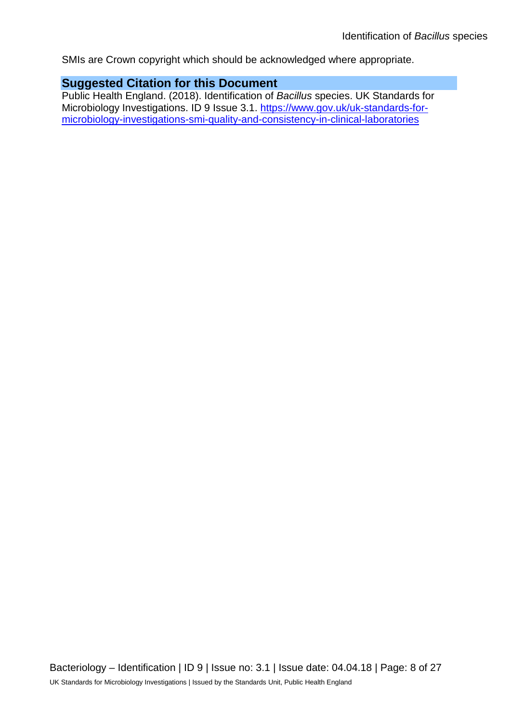SMIs are Crown copyright which should be acknowledged where appropriate.

### **Suggested Citation for this Document**

Public Health England. (2018). Identification of *Bacillus* species. UK Standards for Microbiology Investigations. ID 9 Issue 3.1. [https://www.gov.uk/uk-standards-for](https://www.gov.uk/uk-standards-for-microbiology-investigations-smi-quality-and-consistency-in-clinical-laboratories)[microbiology-investigations-smi-quality-and-consistency-in-clinical-laboratories](https://www.gov.uk/uk-standards-for-microbiology-investigations-smi-quality-and-consistency-in-clinical-laboratories)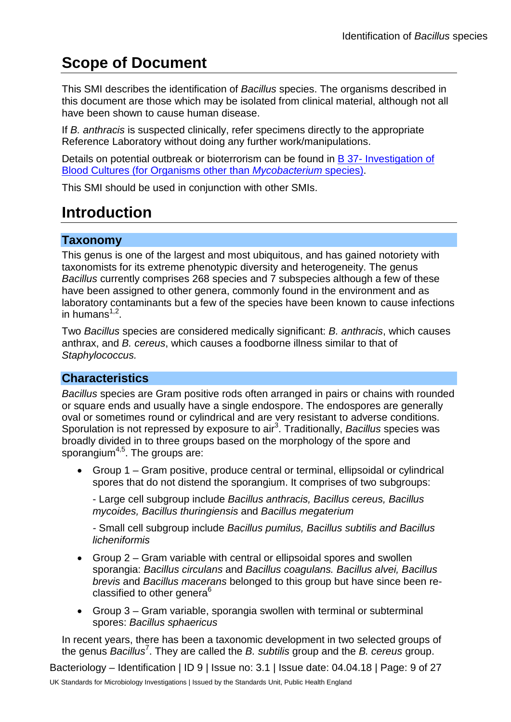## **Scope of Document**

This SMI describes the identification of *Bacillus* species. The organisms described in this document are those which may be isolated from clinical material, although not all have been shown to cause human disease.

If *B. anthracis* is suspected clinically, refer specimens directly to the appropriate Reference Laboratory without doing any further work/manipulations.

Details on potential outbreak or bioterrorism can be found in B 37- [Investigation of](https://www.gov.uk/government/collections/standards-for-microbiology-investigations-smi#bacteriology)  [Blood Cultures \(for Organisms other than](https://www.gov.uk/government/collections/standards-for-microbiology-investigations-smi#bacteriology) *Mycobacterium* species).

This SMI should be used in conjunction with other SMIs.

## **Introduction**

#### **Taxonomy**

This genus is one of the largest and most ubiquitous, and has gained notoriety with taxonomists for its extreme phenotypic diversity and heterogeneity. The genus *Bacillus* currently comprises 268 species and 7 subspecies although a few of these have been assigned to other genera, commonly found in the environment and as laboratory contaminants but a few of the species have been known to cause infections in humans $1,2$ .

Two *Bacillus* species are considered medically significant: *B. anthracis*, which causes anthrax, and *B. cereus*, which causes a foodborne illness similar to that of *Staphylococcus.*

### **Characteristics**

*Bacillus* species are Gram positive rods often arranged in pairs or chains with rounded or square ends and usually have a single endospore. The endospores are generally oval or sometimes round or cylindrical and are very resistant to adverse conditions. Sporulation is not repressed by exposure to air<sup>3</sup>. Traditionally, *Bacillus* species was broadly divided in to three groups based on the morphology of the spore and sporangium<sup>4,5</sup>. The groups are:

• Group 1 – Gram positive, produce central or terminal, ellipsoidal or cylindrical spores that do not distend the sporangium. It comprises of two subgroups:

- Large cell subgroup include *Bacillus anthracis, Bacillus cereus, Bacillus mycoides, Bacillus thuringiensis* and *Bacillus megaterium*

*-* Small cell subgroup include *Bacillus pumilus, Bacillus subtilis and Bacillus licheniformis*

- Group 2 Gram variable with central or ellipsoidal spores and swollen sporangia: *Bacillus circulans* and *Bacillus coagulans. Bacillus alvei, Bacillus brevis* and *Bacillus macerans* belonged to this group but have since been reclassified to other genera<sup>6</sup>
- Group 3 Gram variable, sporangia swollen with terminal or subterminal spores: *Bacillus sphaericus*

In recent years, there has been a taxonomic development in two selected groups of the genus *Bacillus*<sup>7</sup> . They are called the *B. subtilis* group and the *B. cereus* group.

Bacteriology – Identification | ID 9 | Issue no: 3.1 | Issue date: 04.04.18 | Page: 9 of 27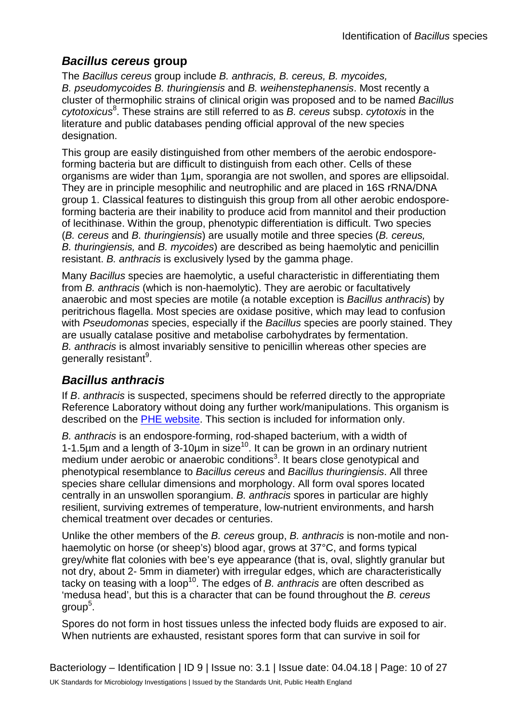### *Bacillus cereus* **group**

The *Bacillus cereus* group include *B. anthracis, B. cereus, B. mycoides, B. pseudomycoides B. thuringiensis* and *B. weihenstephanensis*. Most recently a cluster of thermophilic strains of clinical origin was proposed and to be named *Bacillus cytotoxicus*<sup>8</sup> . These strains are still referred to as *B. cereus* subsp. *cytotoxis* in the literature and public databases pending official approval of the new species designation.

This group are easily distinguished from other members of the aerobic endosporeforming bacteria but are difficult to distinguish from each other. Cells of these organisms are wider than 1μm, sporangia are not swollen, and spores are ellipsoidal. They are in principle mesophilic and neutrophilic and are placed in 16S rRNA/DNA group 1. Classical features to distinguish this group from all other aerobic endosporeforming bacteria are their inability to produce acid from mannitol and their production of lecithinase. Within the group, phenotypic differentiation is difficult. Two species (*B. cereus* and *B. thuringiensis*) are usually motile and three species (*B. cereus, B. thuringiensis,* and *B. mycoides*) are described as being haemolytic and penicillin resistant. *B. anthracis* is exclusively lysed by the gamma phage.

Many *Bacillus* species are haemolytic, a useful characteristic in differentiating them from *B. anthracis* (which is non-haemolytic). They are aerobic or facultatively anaerobic and most species are motile (a notable exception is *Bacillus anthracis*) by peritrichous flagella. Most species are oxidase positive, which may lead to confusion with *Pseudomonas* species, especially if the *Bacillus* species are poorly stained. They are usually catalase positive and metabolise carbohydrates by fermentation. *B. anthracis* is almost invariably sensitive to penicillin whereas other species are generally resistant<sup>9</sup>.

## *Bacillus anthracis*

If *B*. *anthracis* is suspected, specimens should be referred directly to the appropriate Reference Laboratory without doing any further work/manipulations. This organism is described on the PHE [website.](https://www.gov.uk/government/collections/anthrax-guidance-data-and-analysis) This section is included for information only.

*B. anthracis* is an [endospore-](http://en.wikipedia.org/wiki/Endospore)forming, rod-shaped [bacterium,](http://en.wikipedia.org/wiki/Bacterium) with a width of 1-1.5 $\mu$ m and a length of 3-10 $\mu$ m in size<sup>10</sup>. It can be grown in an ordinary nutrient medium under aerobic or anaerobic conditions<sup>3</sup>. It bears close [genotypical](http://en.wikipedia.org/wiki/Genotypical) and [phenotypical](http://en.wikipedia.org/wiki/Phenotypical) resemblance to *[Bacillus cereus](http://en.wikipedia.org/wiki/Bacillus_cereus)* and *[Bacillus thuringiensis](http://en.wikipedia.org/wiki/Bacillus_thuringiensis)*. All three species share cellular dimensions and morphology. All form oval spores located centrally in an unswollen sporangium. *B. anthracis* spores in particular are highly resilient, surviving extremes of temperature, low-nutrient environments, and harsh chemical treatment over decades or centuries.

Unlike the other members of the *B. cereus* group, *B. anthracis* is non-motile and nonhaemolytic on horse (or sheep's) blood agar, grows at 37°C, and forms typical grey/white flat colonies with bee's eye appearance (that is, oval, slightly granular but not dry, about 2- 5mm in diameter) with irregular edges, which are characteristically tacky on teasing with a loop10. The edges of *B. anthracis* are often described as 'medusa head', but this is a character that can be found throughout the *B. cereus* group<sup>5</sup> .

Spores do not form in host tissues unless the infected body fluids are exposed to air. When nutrients are exhausted, resistant spores form that can survive in soil for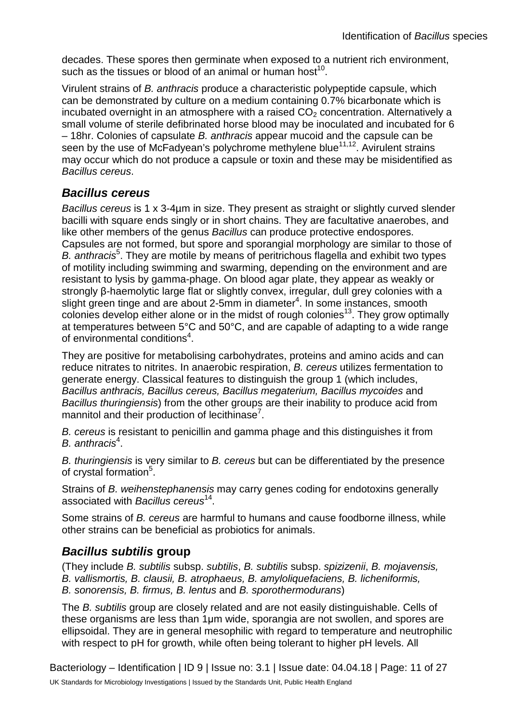decades. These spores then germinate when exposed to a nutrient rich environment, such as the tissues or blood of an animal or human host<sup>10</sup>.

Virulent strains of *B. anthracis* produce a characteristic polypeptide capsule, which can be demonstrated by culture on a medium containing 0.7% bicarbonate which is incubated overnight in an atmosphere with a raised  $CO<sub>2</sub>$  concentration. Alternatively a small volume of sterile defibrinated horse blood may be inoculated and incubated for 6 – 18hr. Colonies of capsulate *B. anthracis* appear mucoid and the capsule can be seen by the use of McFadyean's polychrome methylene blue<sup>11,12</sup>. Avirulent strains may occur which do not produce a capsule or toxin and these may be misidentified as *Bacillus cereus*.

### *Bacillus cereus*

*Bacillus cereus* is 1 x 3-4µm in size. They present as straight or slightly curved slender bacilli with square ends singly or in short chains. They are facultative anaerobes, and like other members of the genus *Bacillus* can produce protective endospores. Capsules are not formed, but spore and sporangial morphology are similar to those of B. anthracis<sup>5</sup>. They are motile by means of peritrichous flagella and exhibit two types of motility including swimming and swarming, depending on the environment and are resistant to lysis by gamma-phage. On blood agar plate, they appear as weakly or strongly β-haemolytic large flat or slightly convex, irregular, dull grey colonies with a slight green tinge and are about 2-5 $m$ m in diameter<sup>4</sup>. In some instances, smooth  $\frac{1}{2}$  colonies develop either alone or in the midst of rough colonies<sup>13</sup>. They grow optimally at temperatures between 5°C and 50°C, and are capable of adapting to a wide range of environmental conditions<sup>4</sup>.

They are positive for metabolising carbohydrates, proteins and amino acids and can reduce nitrates to nitrites. In anaerobic respiration, *B. cereus* utilizes fermentation to generate energy. Classical features to distinguish the group 1 (which includes, *Bacillus anthracis, Bacillus cereus, Bacillus megaterium, Bacillus mycoides* and *Bacillus thuringiensis*) from the other groups are their inability to produce acid from mannitol and their production of lecithinase<sup>7</sup>.

*B. cereus* is resistant to penicillin and gamma phage and this distinguishes it from B. anthracis<sup>4</sup>.

*B. thuringiensis* is very similar to *B. cereus* but can be differentiated by the presence of crystal formation<sup>5</sup>.

Strains of *B. weihenstephanensis* may carry genes coding for endotoxins generally associated with *Bacillus cereus*14.

Some strains of *B. cereus* are harmful to humans and cause foodborne illness, while other strains can be beneficial as probiotics for animals.

### *Bacillus subtilis* **group**

(They include *B. subtilis* subsp. *subtilis*, *B. subtilis* subsp. *spizizenii*, *B. mojavensis, B. vallismortis, B. clausii, B. atrophaeus, B. amyloliquefaciens, B. licheniformis, B. sonorensis, B. firmus, B. lentus* and *B. sporothermodurans*)

The *B. subtilis* group are closely related and are not easily distinguishable. Cells of these organisms are less than 1μm wide, sporangia are not swollen, and spores are ellipsoidal. They are in general mesophilic with regard to temperature and neutrophilic with respect to pH for growth, while often being tolerant to higher pH levels. All

Bacteriology – Identification | ID 9 | Issue no: 3.1 | Issue date: 04.04.18 | Page: 11 of 27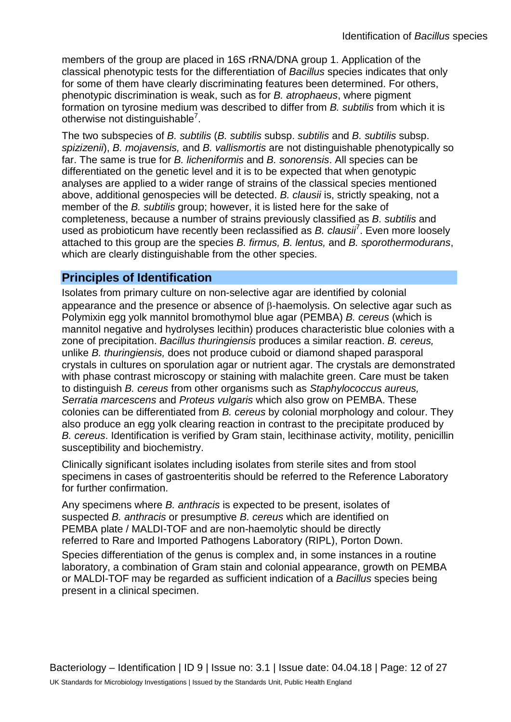members of the group are placed in 16S rRNA/DNA group 1. Application of the classical phenotypic tests for the differentiation of *Bacillus* species indicates that only for some of them have clearly discriminating features been determined. For others, phenotypic discrimination is weak, such as for *B. atrophaeus*, where pigment formation on tyrosine medium was described to differ from *B. subtilis* from which it is otherwise not distinguishable<sup>7</sup>.

The two subspecies of *B. subtilis* (*B. subtilis* subsp. *subtilis* and *B. subtilis* subsp. *spizizenii*), *B. mojavensis,* and *B. vallismortis* are not distinguishable phenotypically so far. The same is true for *B. licheniformis* and *B. sonorensis*. All species can be differentiated on the genetic level and it is to be expected that when genotypic analyses are applied to a wider range of strains of the classical species mentioned above, additional genospecies will be detected. *B. clausii* is, strictly speaking, not a member of the *B. subtilis* group; however, it is listed here for the sake of completeness, because a number of strains previously classified as *B. subtilis* and used as probioticum have recently been reclassified as *B. clausii*<sup>7</sup> . Even more loosely attached to this group are the species *B. firmus, B. lentus,* and *B. sporothermodurans*, which are clearly distinguishable from the other species.

### **Principles of Identification**

Isolates from primary culture on non-selective agar are identified by colonial appearance and the presence or absence of β-haemolysis. On selective agar such as Polymixin egg yolk mannitol bromothymol blue agar (PEMBA) *B. cereus* (which is mannitol negative and hydrolyses lecithin) produces characteristic blue colonies with a zone of precipitation. *Bacillus thuringiensis* produces a similar reaction. *B. cereus,*  unlike *B. thuringiensis,* does not produce cuboid or diamond shaped parasporal crystals in cultures on sporulation agar or nutrient agar. The crystals are demonstrated with phase contrast microscopy or staining with malachite green. Care must be taken to distinguish *B. cereus* from other organisms such as *Staphylococcus aureus, Serratia marcescens* and *Proteus vulgaris* which also grow on PEMBA. These colonies can be differentiated from *B. cereus* by colonial morphology and colour. They also produce an egg yolk clearing reaction in contrast to the precipitate produced by *B. cereus*. Identification is verified by Gram stain, lecithinase activity, motility, penicillin susceptibility and biochemistry.

Clinically significant isolates including isolates from sterile sites and from stool specimens in cases of gastroenteritis should be referred to the Reference Laboratory for further confirmation.

Any specimens where *B. anthracis* is expected to be present, isolates of suspected *B. anthracis* or presumptive *B. cereus* which are identified on PEMBA plate / MALDI-TOF and are non-haemolytic should be directly referred to Rare and Imported Pathogens Laboratory (RIPL), Porton Down.

Species differentiation of the genus is complex and, in some instances in a routine laboratory, a combination of Gram stain and colonial appearance, growth on PEMBA or MALDI-TOF may be regarded as sufficient indication of a *Bacillus* species being present in a clinical specimen.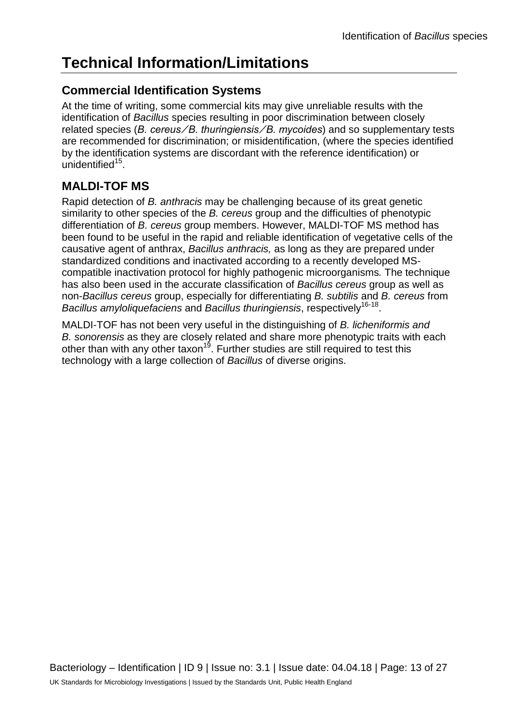## **Technical Information/Limitations**

### **Commercial Identification Systems**

At the time of writing, some commercial kits may give unreliable results with the identification of *Bacillus* species resulting in poor discrimination between closely related species (*B. cereus ⁄ B. thuringiensis ⁄ B. mycoides*) and so supplementary tests are recommended for discrimination; or misidentification, (where the species identified by the identification systems are discordant with the reference identification) or unidentified $15$ .

## **MALDI-TOF MS**

Rapid detection of *B. anthracis* may be challenging because of its great genetic similarity to other species of the *B. cereus* group and the difficulties of phenotypic differentiation of *B. cereus* group members. However, MALDI-TOF MS method has been found to be useful in the rapid and reliable identification of vegetative cells of the causative agent of anthrax, *Bacillus anthracis,* as long as they are prepared under standardized conditions and inactivated according to a recently developed MScompatible inactivation protocol for highly pathogenic microorganisms*.* The technique has also been used in the accurate classification of *Bacillus cereus* group as well as non-*Bacillus cereus* group, especially for differentiating *B. subtilis* and *B. cereus* from *Bacillus amyloliquefaciens* and *Bacillus thuringiensis*, respectively16-18.

MALDI-TOF has not been very useful in the distinguishing of *B. licheniformis and B. sonorensis* as they are closely related and share more phenotypic traits with each other than with any other taxon<sup>19</sup>. Further studies are still required to test this technology with a large collection of *Bacillus* of diverse origins.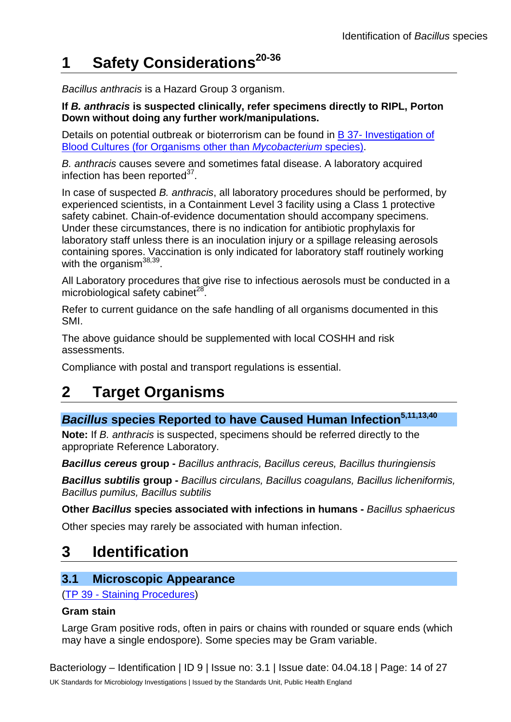## **1 Safety Considerations20-36**

*Bacillus anthracis* is a Hazard Group 3 organism.

**If** *B. anthracis* **is suspected clinically, refer specimens directly to RIPL, Porton Down without doing any further work/manipulations.**

Details on potential outbreak or bioterrorism can be found in  $B$  37- Investigation of [Blood Cultures \(for Organisms other than](https://www.gov.uk/government/collections/standards-for-microbiology-investigations-smi#bacteriology) *Mycobacterium* species).

*B. anthracis* causes severe and sometimes fatal disease. A laboratory acquired infection has been reported $37$ .

In case of suspected *B. anthracis*, all laboratory procedures should be performed, by experienced scientists, in a Containment Level 3 facility using a Class 1 protective safety cabinet. Chain-of-evidence documentation should accompany specimens. Under these circumstances, there is no indication for antibiotic prophylaxis for laboratory staff unless there is an inoculation injury or a spillage releasing aerosols containing spores. Vaccination is only indicated for laboratory staff routinely working with the organism $38,39$ .

All Laboratory procedures that give rise to infectious aerosols must be conducted in a microbiological safety cabinet $^{28}$ .

Refer to current guidance on the safe handling of all organisms documented in this SMI.

The above guidance should be supplemented with local COSHH and risk assessments.

Compliance with postal and transport regulations is essential.

## **2 Target Organisms**

## **Bacillus species Reported to have Caused Human Infection<sup>5,11,13,40</sup>**

**Note:** If *B. anthracis* is suspected, specimens should be referred directly to the appropriate Reference Laboratory.

*Bacillus cereus* **group -** *Bacillus anthracis, Bacillus cereus, Bacillus thuringiensis*

*Bacillus subtilis* **group -** *Bacillus circulans, Bacillus coagulans, Bacillus licheniformis, Bacillus pumilus, Bacillus subtilis*

**Other** *Bacillus* **species associated with infections in humans -** *Bacillus sphaericus* 

Other species may rarely be associated with human infection.

## **3 Identification**

### **3.1 Microscopic Appearance**

(TP 39 - [Staining Procedures\)](https://www.gov.uk/government/collections/standards-for-microbiology-investigations-smi#test-procedures)

#### **Gram stain**

Large Gram positive rods, often in pairs or chains with rounded or square ends (which may have a single endospore). Some species may be Gram variable.

Bacteriology – Identification | ID 9 | Issue no: 3.1 | Issue date: 04.04.18 | Page: 14 of 27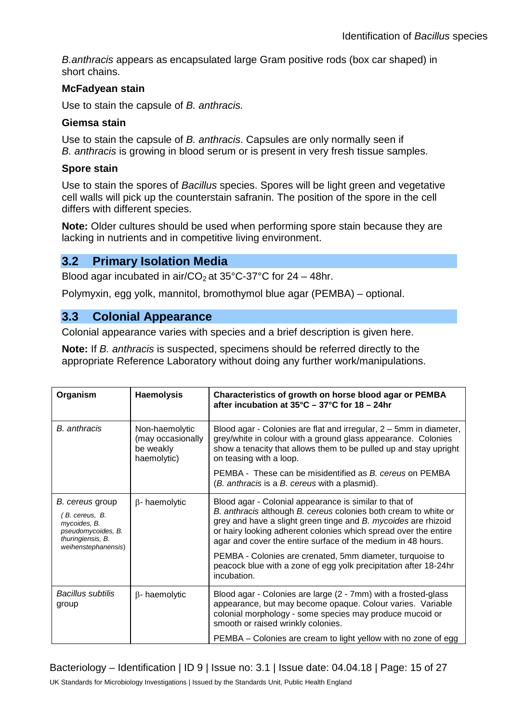*B.anthracis* appears as encapsulated large Gram positive rods (box car shaped) in short chains.

#### **McFadyean stain**

Use to stain the capsule of *B. anthracis.*

#### **Giemsa stain**

Use to stain the capsule of *B. anthracis*. Capsules are only normally seen if *B. anthracis* is growing in blood serum or is present in very fresh tissue samples.

#### **Spore stain**

Use to stain the spores of *Bacillus* species. Spores will be light green and vegetative cell walls will pick up the counterstain safranin. The position of the spore in the cell differs with different species.

**Note:** Older cultures should be used when performing spore stain because they are lacking in nutrients and in competitive living environment.

#### **3.2 Primary Isolation Media**

Blood agar incubated in air/CO<sub>2</sub> at  $35^{\circ}$ C-37°C for 24 – 48hr.

Polymyxin, egg yolk, mannitol, bromothymol blue agar (PEMBA) – optional.

### **3.3 Colonial Appearance**

Colonial appearance varies with species and a brief description is given here.

**Note:** If *B. anthracis* is suspected, specimens should be referred directly to the appropriate Reference Laboratory without doing any further work/manipulations.

| Organism                                                                                                           | <b>Haemolysis</b>                                               | Characteristics of growth on horse blood agar or PEMBA<br>after incubation at $35^{\circ}$ C - $37^{\circ}$ C for 18 - 24hr                                                                                                                                                                                                                                                                                                                                                    |  |  |
|--------------------------------------------------------------------------------------------------------------------|-----------------------------------------------------------------|--------------------------------------------------------------------------------------------------------------------------------------------------------------------------------------------------------------------------------------------------------------------------------------------------------------------------------------------------------------------------------------------------------------------------------------------------------------------------------|--|--|
| <b>B.</b> anthracis                                                                                                | Non-haemolytic<br>(may occasionally<br>be weakly<br>haemolytic) | Blood agar - Colonies are flat and irregular, 2 – 5mm in diameter,<br>grey/white in colour with a ground glass appearance. Colonies<br>show a tenacity that allows them to be pulled up and stay upright<br>on teasing with a loop.                                                                                                                                                                                                                                            |  |  |
|                                                                                                                    |                                                                 | PEMBA - These can be misidentified as B. cereus on PEMBA<br>(B. anthracis is a B. cereus with a plasmid).                                                                                                                                                                                                                                                                                                                                                                      |  |  |
| B. cereus group<br>B. cereus, B.<br>mycoides, B.<br>pseudomycoides, B.<br>thuringiensis, B.<br>weihenstephanensis) | $\beta$ - haemolytic                                            | Blood agar - Colonial appearance is similar to that of<br>B. anthracis although B. cereus colonies both cream to white or<br>grey and have a slight green tinge and B. mycoides are rhizoid<br>or hairy looking adherent colonies which spread over the entire<br>agar and cover the entire surface of the medium in 48 hours.<br>PEMBA - Colonies are crenated, 5mm diameter, turquoise to<br>peacock blue with a zone of egg yolk precipitation after 18-24hr<br>incubation. |  |  |
| Bacillus subtilis<br>group                                                                                         | $\beta$ - haemolytic                                            | Blood agar - Colonies are large (2 - 7mm) with a frosted-glass<br>appearance, but may become opaque. Colour varies. Variable<br>colonial morphology - some species may produce mucoid or<br>smooth or raised wrinkly colonies.<br>PEMBA - Colonies are cream to light yellow with no zone of egg                                                                                                                                                                               |  |  |

Bacteriology – Identification | ID 9 | Issue no: 3.1 | Issue date: 04.04.18 | Page: 15 of 27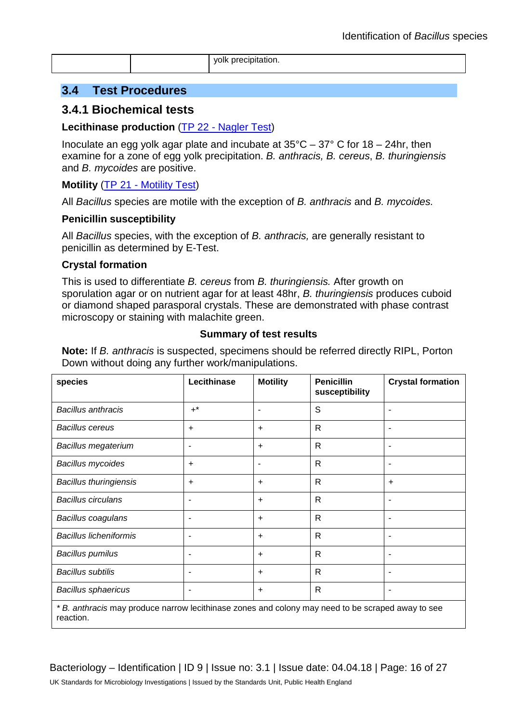yolk precipitation.

#### **3.4 Test Procedures**

#### **3.4.1 Biochemical tests**

#### **Lecithinase production** (TP 22 - [Nagler Test\)](https://www.gov.uk/government/collections/standards-for-microbiology-investigations-smi#test-procedures)

Inoculate an egg yolk agar plate and incubate at  $35^{\circ}$ C –  $37^{\circ}$  C for 18 – 24hr, then examine for a zone of egg yolk precipitation. *B. anthracis, B. cereus*, *B. thuringiensis* and *B. mycoides* are positive.

#### **Motility** (TP 21 - [Motility Test\)](https://www.gov.uk/government/collections/standards-for-microbiology-investigations-smi#test-procedures)

All *Bacillus* species are motile with the exception of *B. anthracis* and *B. mycoides.*

#### **Penicillin susceptibility**

All *Bacillus* species, with the exception of *B. anthracis,* are generally resistant to penicillin as determined by E-Test.

#### **Crystal formation**

This is used to differentiate *B. cereus* from *B. thuringiensis.* After growth on sporulation agar or on nutrient agar for at least 48hr, *B. thuringiensis* produces cuboid or diamond shaped parasporal crystals. These are demonstrated with phase contrast microscopy or staining with malachite green.

#### **Summary of test results**

**Note:** If *B. anthracis* is suspected, specimens should be referred directly RIPL, Porton Down without doing any further work/manipulations.

| species                                                                                                       | Lecithinase | <b>Motility</b>          | <b>Penicillin</b><br>susceptibility | <b>Crystal formation</b> |  |  |
|---------------------------------------------------------------------------------------------------------------|-------------|--------------------------|-------------------------------------|--------------------------|--|--|
| <b>Bacillus anthracis</b>                                                                                     | $+^*$       | ۰                        | S                                   |                          |  |  |
| <b>Bacillus cereus</b>                                                                                        | ÷           | $\ddot{}$                | R                                   |                          |  |  |
| <b>Bacillus megaterium</b>                                                                                    |             | $\ddot{}$                | R                                   |                          |  |  |
| <b>Bacillus mycoides</b>                                                                                      | ÷           | $\overline{\phantom{a}}$ | $\mathsf{R}$                        |                          |  |  |
| <b>Bacillus thuringiensis</b>                                                                                 | $\ddot{}$   | $\ddot{}$                | R                                   | $\ddot{}$                |  |  |
| <b>Bacillus circulans</b>                                                                                     |             | $+$                      | R                                   |                          |  |  |
| Bacillus coagulans                                                                                            | ٠           | $+$                      | R                                   |                          |  |  |
| <b>Bacillus licheniformis</b>                                                                                 |             | $+$                      | $\mathsf{R}$                        |                          |  |  |
| <b>Bacillus pumilus</b>                                                                                       | ٠           | $+$                      | R                                   |                          |  |  |
| <b>Bacillus subtilis</b>                                                                                      |             | $+$                      | R.                                  |                          |  |  |
| <b>Bacillus sphaericus</b>                                                                                    |             | $\ddot{}$                | $\mathsf{R}$                        |                          |  |  |
| *B. anthracis may produce narrow lecithinase zones and colony may need to be scraped away to see<br>reaction. |             |                          |                                     |                          |  |  |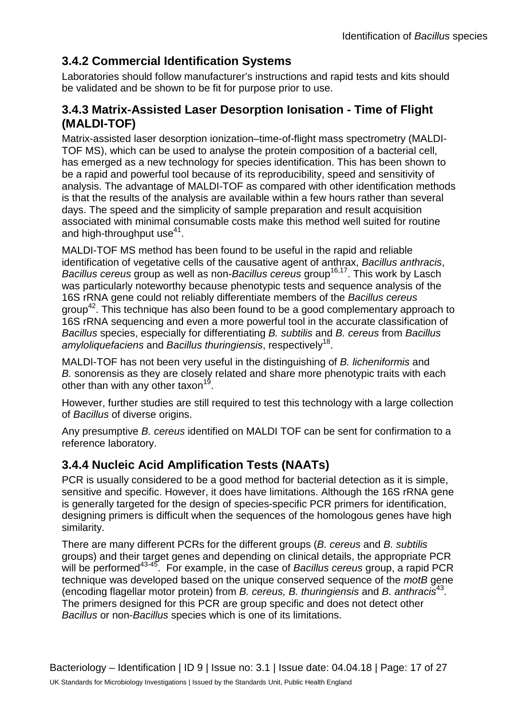## **3.4.2 Commercial Identification Systems**

Laboratories should follow manufacturer's instructions and rapid tests and kits should be validated and be shown to be fit for purpose prior to use.

### **3.4.3 Matrix-Assisted Laser Desorption Ionisation - Time of Flight (MALDI-TOF)**

Matrix-assisted laser desorption ionization–time-of-flight mass spectrometry (MALDI-TOF MS), which can be used to analyse the protein composition of a bacterial cell, has emerged as a new technology for species identification. This has been shown to be a rapid and powerful tool because of its reproducibility, speed and sensitivity of analysis. The advantage of MALDI-TOF as compared with other identification methods is that the results of the analysis are available within a few hours rather than several days. The speed and the simplicity of sample preparation and result acquisition associated with minimal consumable costs make this method well suited for routine and high-throughput use $41$ .

MALDI-TOF MS method has been found to be useful in the rapid and reliable identification of vegetative cells of the causative agent of anthrax, *Bacillus anthracis*, *Bacillus cereus* group as well as non-*Bacillus cereus* group<sup>16,17</sup>. This work by Lasch was particularly noteworthy because phenotypic tests and sequence analysis of the 16S rRNA gene could not reliably differentiate members of the *Bacillus cereus* group<sup>42</sup>. This technique has also been found to be a good complementary approach to 16S rRNA sequencing and even a more powerful tool in the accurate classification of *Bacillus* species, especially for differentiating *B. subtilis* and *B. cereus* from *Bacillus amyloliquefaciens* and *Bacillus thuringiensis*, respectively18.

MALDI-TOF has not been very useful in the distinguishing of *B. licheniformis* and *B.* sonorensis as they are closely related and share more phenotypic traits with each other than with any other taxon<sup>19</sup>.

However, further studies are still required to test this technology with a large collection of *Bacillus* of diverse origins.

Any presumptive *B. cereus* identified on MALDI TOF can be sent for confirmation to a reference laboratory.

## **3.4.4 Nucleic Acid Amplification Tests (NAATs)**

PCR is usually considered to be a good method for bacterial detection as it is simple, sensitive and specific. However, it does have limitations. Although the 16S rRNA gene is generally targeted for the design of species-specific PCR primers for identification, designing primers is difficult when the sequences of the homologous genes have high similarity.

There are many different PCRs for the different groups (*B. cereus* and *B. subtilis* groups) and their target genes and depending on clinical details, the appropriate PCR will be performed<sup>43-45</sup>. For example, in the case of *Bacillus cereus* group, a rapid PCR technique was developed based on the unique conserved sequence of the *motB* gene (encoding flagellar motor protein) from *B. cereus, B. thuringiensis* and *B. anthracis*43. The primers designed for this PCR are group specific and does not detect other *Bacillus* or non-*Bacillus* species which is one of its limitations.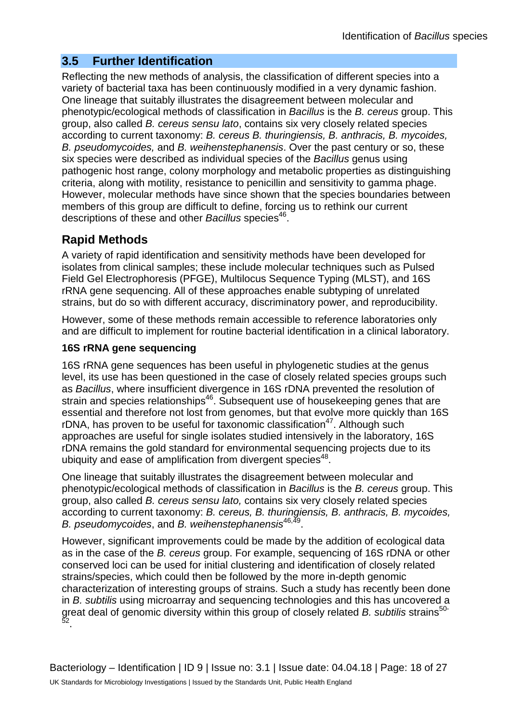### **3.5 Further Identification**

Reflecting the new methods of analysis, the classification of different species into a variety of bacterial taxa has been continuously modified in a very dynamic fashion. One lineage that suitably illustrates the disagreement between molecular and phenotypic/ecological methods of classification in *Bacillus* is the *B. cereus* group. This group, also called *B. cereus sensu lato*, contains six very closely related species according to current taxonomy: *B. cereus B. thuringiensis, B. anthracis, B. mycoides, B. pseudomycoides,* and *B. weihenstephanensis*. Over the past century or so, these six species were described as individual species of the *Bacillus* genus using pathogenic host range, colony morphology and metabolic properties as distinguishing criteria, along with motility, resistance to penicillin and sensitivity to gamma phage. However, molecular methods have since shown that the species boundaries between members of this group are difficult to define, forcing us to rethink our current descriptions of these and other *Bacillus* species<sup>46</sup>.

## **Rapid Methods**

A variety of rapid identification and sensitivity methods have been developed for isolates from clinical samples; these include molecular techniques such as Pulsed Field Gel Electrophoresis (PFGE), Multilocus Sequence Typing (MLST), and 16S rRNA gene sequencing. All of these approaches enable subtyping of unrelated strains, but do so with different accuracy, discriminatory power, and reproducibility.

However, some of these methods remain accessible to reference laboratories only and are difficult to implement for routine bacterial identification in a clinical laboratory.

#### **16S rRNA gene sequencing**

16S rRNA gene sequences has been useful in phylogenetic studies at the genus level, its use has been questioned in the case of closely related species groups such as *Bacillus*, where insufficient divergence in 16S rDNA prevented the resolution of strain and species relationships<sup>46</sup>. Subsequent use of housekeeping genes that are essential and therefore not lost from genomes, but that evolve more quickly than 16S rDNA, has proven to be useful for taxonomic classification<sup>47</sup>. Although such approaches are useful for single isolates studied intensively in the laboratory, 16S rDNA remains the gold standard for environmental sequencing projects due to its ubiquity and ease of amplification from divergent species<sup>48</sup>.

One lineage that suitably illustrates the disagreement between molecular and phenotypic/ecological methods of classification in *Bacillus* is the *B. cereus* group. This group, also called *B. cereus sensu lato,* contains six very closely related species according to current taxonomy: *B. cereus, B. thuringiensis, B. anthracis, B. mycoides, B. pseudomycoides*, and *B. weihenstephanensis*46,49.

However, significant improvements could be made by the addition of ecological data as in the case of the *B. cereus* group. For example, sequencing of 16S rDNA or other conserved loci can be used for initial clustering and identification of closely related strains/species, which could then be followed by the more in-depth genomic characterization of interesting groups of strains. Such a study has recently been done in *B. subtilis* using microarray and sequencing technologies and this has uncovered a great deal of genomic diversity within this group of closely related *B. subtilis* strains<sup>50-</sup> 52.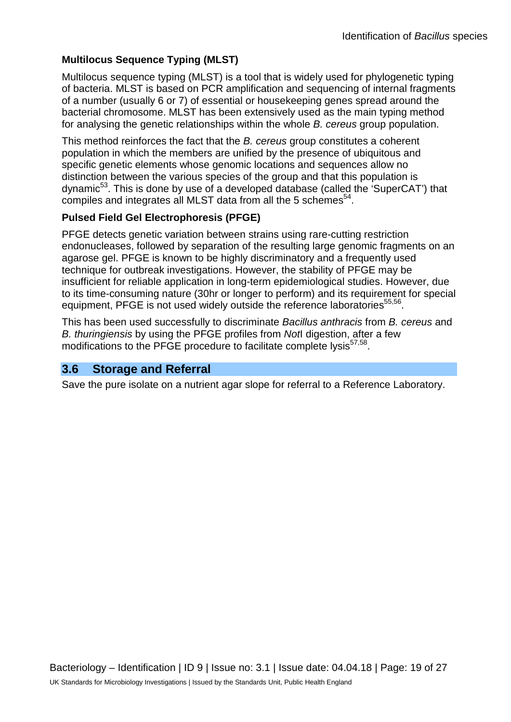### **Multilocus Sequence Typing (MLST)**

Multilocus sequence typing (MLST) is a tool that is widely used for phylogenetic typing of bacteria. MLST is based on PCR amplification and sequencing of internal fragments of a number (usually 6 or 7) of essential or housekeeping genes spread around the bacterial chromosome. MLST has been extensively used as the main typing method for analysing the genetic relationships within the whole *B. cereus* group population.

This method reinforces the fact that the *B. cereus* group constitutes a coherent population in which the members are unified by the presence of ubiquitous and specific genetic elements whose genomic locations and sequences allow no distinction between the various species of the group and that this population is dynamic<sup>53</sup>. This is done by use of a developed database (called the 'SuperCAT') that compiles and integrates all MLST data from all the 5 schemes<sup>54</sup>.

#### **Pulsed Field Gel Electrophoresis (PFGE)**

PFGE detects genetic variation between strains using rare-cutting restriction endonucleases, followed by separation of the resulting large genomic fragments on an agarose gel. PFGE is known to be highly discriminatory and a frequently used technique for outbreak investigations. However, the stability of PFGE may be insufficient for reliable application in long-term epidemiological studies. However, due to its time-consuming nature (30hr or longer to perform) and its requirement for special equipment, PFGE is not used widely outside the reference laboratories<sup>55,56</sup>.

This has been used successfully to discriminate *Bacillus anthracis* from *B. cereus* and *B. thuringiensis* by using the PFGE profiles from *Not*I digestion, after a few modifications to the PFGE procedure to facilitate complete lysis<sup>57,58</sup>.

### **3.6 Storage and Referral**

Save the pure isolate on a nutrient agar slope for referral to a Reference Laboratory.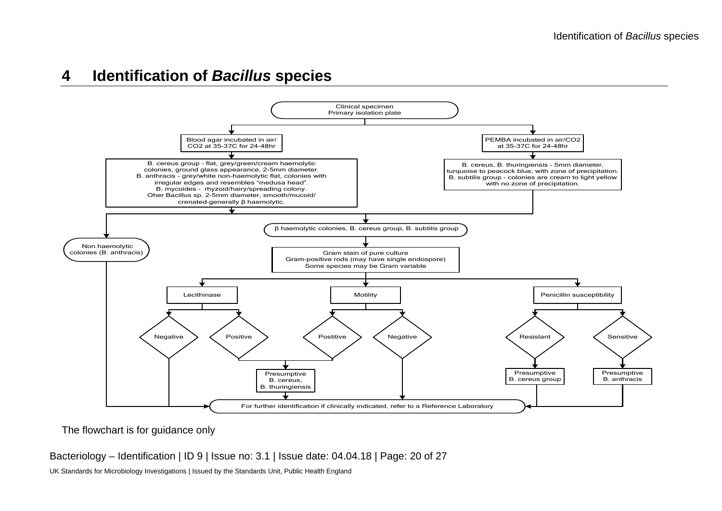## **4 Identification of** *Bacillus* **species**



The flowchart is for guidance only

Bacteriology – Identification | ID 9 | Issue no: 3.1 | Issue date: 04.04.18 | Page: 20 of 27

UK Standards for Microbiology Investigations | Issued by the Standards Unit, Public Health England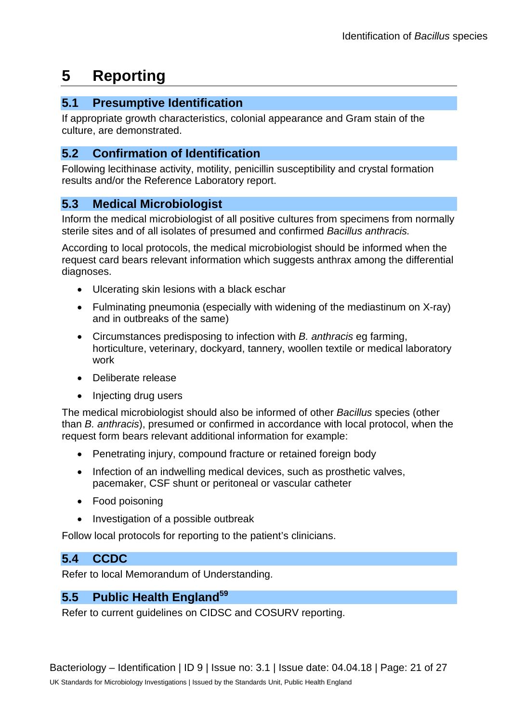## **5 Reporting**

### **5.1 Presumptive Identification**

If appropriate growth characteristics, colonial appearance and Gram stain of the culture, are demonstrated.

### **5.2 Confirmation of Identification**

Following lecithinase activity, motility, penicillin susceptibility and crystal formation results and/or the Reference Laboratory report.

## **5.3 Medical Microbiologist**

Inform the medical microbiologist of all positive cultures from specimens from normally sterile sites and of all isolates of presumed and confirmed *Bacillus anthracis.*

According to local protocols, the medical microbiologist should be informed when the request card bears relevant information which suggests anthrax among the differential diagnoses.

- Ulcerating skin lesions with a black eschar
- Fulminating pneumonia (especially with widening of the mediastinum on X-ray) and in outbreaks of the same)
- Circumstances predisposing to infection with *B. anthracis* eg farming, horticulture, veterinary, dockyard, tannery, woollen textile or medical laboratory work
- Deliberate release
- Injecting drug users

The medical microbiologist should also be informed of other *Bacillus* species (other than *B. anthracis*), presumed or confirmed in accordance with local protocol, when the request form bears relevant additional information for example:

- Penetrating injury, compound fracture or retained foreign body
- Infection of an indwelling medical devices, such as prosthetic valves, pacemaker, CSF shunt or peritoneal or vascular catheter
- Food poisoning
- Investigation of a possible outbreak

Follow local protocols for reporting to the patient's clinicians.

### **5.4 CCDC**

Refer to local Memorandum of Understanding.

## 5.5 Public Health England<sup>59</sup>

Refer to current guidelines on CIDSC and COSURV reporting.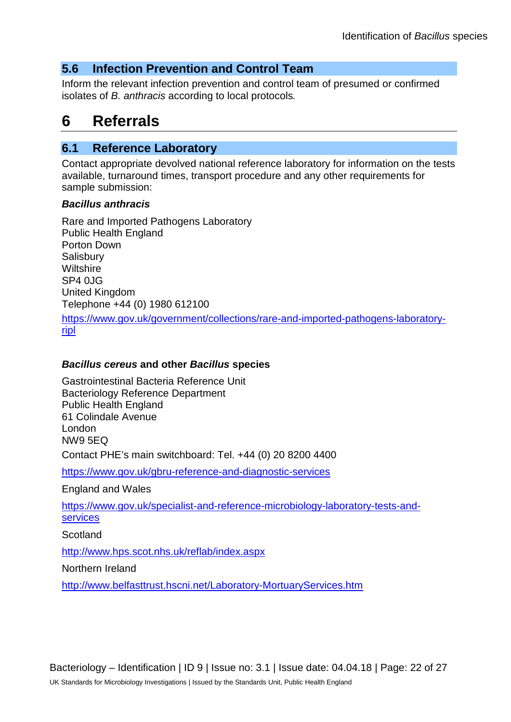### **5.6 Infection Prevention and Control Team**

Inform the relevant infection prevention and control team of presumed or confirmed isolates of *B. anthracis* according to local protocols*.*

## **6 Referrals**

#### **6.1 Reference Laboratory**

Contact appropriate devolved national reference laboratory for information on the tests available, turnaround times, transport procedure and any other requirements for sample submission:

#### *Bacillus anthracis*

Rare and Imported Pathogens Laboratory Public Health England Porton Down **Salisbury Wiltshire** SP4 0JG United Kingdom Telephone +44 (0) 1980 612100 [https://www.gov.uk/government/collections/rare-and-imported-pathogens-laboratory](https://www.gov.uk/government/collections/rare-and-imported-pathogens-laboratory-ripl)[ripl](https://www.gov.uk/government/collections/rare-and-imported-pathogens-laboratory-ripl)

#### *Bacillus cereus* **and other** *Bacillus* **species**

Gastrointestinal Bacteria Reference Unit Bacteriology Reference Department Public Health England 61 Colindale Avenue London NW9 5EQ Contact PHE's main switchboard: Tel. +44 (0) 20 8200 4400

<https://www.gov.uk/gbru-reference-and-diagnostic-services>

England and Wales

[https://www.gov.uk/specialist-and-reference-microbiology-laboratory-tests-and](https://www.gov.uk/specialist-and-reference-microbiology-laboratory-tests-and-services)[services](https://www.gov.uk/specialist-and-reference-microbiology-laboratory-tests-and-services)

**Scotland** 

<http://www.hps.scot.nhs.uk/reflab/index.aspx>

Northern Ireland

<http://www.belfasttrust.hscni.net/Laboratory-MortuaryServices.htm>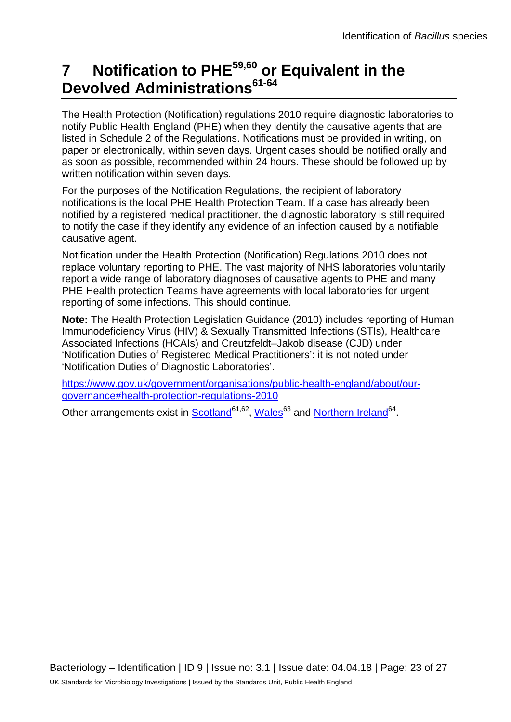## **7 Notification to PHE59,60 or Equivalent in the Devolved Administrations61-64**

The Health Protection (Notification) regulations 2010 require diagnostic laboratories to notify Public Health England (PHE) when they identify the causative agents that are listed in Schedule 2 of the Regulations. Notifications must be provided in writing, on paper or electronically, within seven days. Urgent cases should be notified orally and as soon as possible, recommended within 24 hours. These should be followed up by written notification within seven days.

For the purposes of the Notification Regulations, the recipient of laboratory notifications is the local PHE Health Protection Team. If a case has already been notified by a registered medical practitioner, the diagnostic laboratory is still required to notify the case if they identify any evidence of an infection caused by a notifiable causative agent.

Notification under the Health Protection (Notification) Regulations 2010 does not replace voluntary reporting to PHE. The vast majority of NHS laboratories voluntarily report a wide range of laboratory diagnoses of causative agents to PHE and many PHE Health protection Teams have agreements with local laboratories for urgent reporting of some infections. This should continue.

**Note:** The Health Protection Legislation Guidance (2010) includes reporting of Human Immunodeficiency Virus (HIV) & Sexually Transmitted Infections (STIs), Healthcare Associated Infections (HCAIs) and Creutzfeldt–Jakob disease (CJD) under 'Notification Duties of Registered Medical Practitioners': it is not noted under 'Notification Duties of Diagnostic Laboratories'.

[https://www.gov.uk/government/organisations/public-health-england/about/our](https://www.gov.uk/government/organisations/public-health-england/about/our-governance#health-protection-regulations-2010)[governance#health-protection-regulations-2010](https://www.gov.uk/government/organisations/public-health-england/about/our-governance#health-protection-regulations-2010)

Other arrangements exist in [Scotland](http://www.scotland.gov.uk/Topics/Health/Policy/Public-Health-Act/Implementation/Guidance/Guidance-Part2)<sup>61,62</sup>, Wales<sup>63</sup> and [Northern Ireland](http://www.publichealth.hscni.net/directorate-public-health/health-protection)<sup>64</sup>.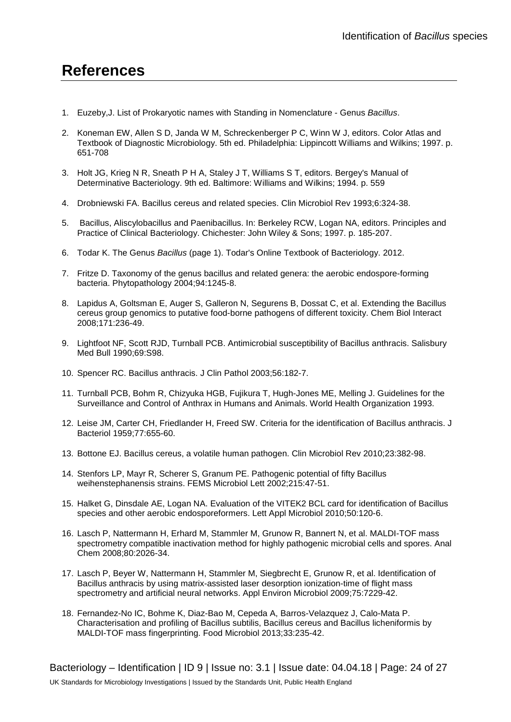## **References**

- 1. Euzeby,J. List of Prokaryotic names with Standing in Nomenclature Genus *Bacillus*.
- 2. Koneman EW, Allen S D, Janda W M, Schreckenberger P C, Winn W J, editors. Color Atlas and Textbook of Diagnostic Microbiology. 5th ed. Philadelphia: Lippincott Williams and Wilkins; 1997. p. 651-708
- 3. Holt JG, Krieg N R, Sneath P H A, Staley J T, Williams S T, editors. Bergey's Manual of Determinative Bacteriology. 9th ed. Baltimore: Williams and Wilkins; 1994. p. 559
- 4. Drobniewski FA. Bacillus cereus and related species. Clin Microbiol Rev 1993;6:324-38.
- 5. Bacillus, Aliscylobacillus and Paenibacillus. In: Berkeley RCW, Logan NA, editors. Principles and Practice of Clinical Bacteriology. Chichester: John Wiley & Sons; 1997. p. 185-207.
- 6. Todar K. The Genus *Bacillus* (page 1). Todar's Online Textbook of Bacteriology. 2012.
- 7. Fritze D. Taxonomy of the genus bacillus and related genera: the aerobic endospore-forming bacteria. Phytopathology 2004;94:1245-8.
- 8. Lapidus A, Goltsman E, Auger S, Galleron N, Segurens B, Dossat C, et al. Extending the Bacillus cereus group genomics to putative food-borne pathogens of different toxicity. Chem Biol Interact 2008;171:236-49.
- 9. Lightfoot NF, Scott RJD, Turnball PCB. Antimicrobial susceptibility of Bacillus anthracis. Salisbury Med Bull 1990;69:S98.
- 10. Spencer RC. Bacillus anthracis. J Clin Pathol 2003;56:182-7.
- 11. Turnball PCB, Bohm R, Chizyuka HGB, Fujikura T, Hugh-Jones ME, Melling J. Guidelines for the Surveillance and Control of Anthrax in Humans and Animals. World Health Organization 1993.
- 12. Leise JM, Carter CH, Friedlander H, Freed SW. Criteria for the identification of Bacillus anthracis. J Bacteriol 1959;77:655-60.
- 13. Bottone EJ. Bacillus cereus, a volatile human pathogen. Clin Microbiol Rev 2010;23:382-98.
- 14. Stenfors LP, Mayr R, Scherer S, Granum PE. Pathogenic potential of fifty Bacillus weihenstephanensis strains. FEMS Microbiol Lett 2002;215:47-51.
- 15. Halket G, Dinsdale AE, Logan NA. Evaluation of the VITEK2 BCL card for identification of Bacillus species and other aerobic endosporeformers. Lett Appl Microbiol 2010;50:120-6.
- 16. Lasch P, Nattermann H, Erhard M, Stammler M, Grunow R, Bannert N, et al. MALDI-TOF mass spectrometry compatible inactivation method for highly pathogenic microbial cells and spores. Anal Chem 2008;80:2026-34.
- 17. Lasch P, Beyer W, Nattermann H, Stammler M, Siegbrecht E, Grunow R, et al. Identification of Bacillus anthracis by using matrix-assisted laser desorption ionization-time of flight mass spectrometry and artificial neural networks. Appl Environ Microbiol 2009;75:7229-42.
- 18. Fernandez-No IC, Bohme K, Diaz-Bao M, Cepeda A, Barros-Velazquez J, Calo-Mata P. Characterisation and profiling of Bacillus subtilis, Bacillus cereus and Bacillus licheniformis by MALDI-TOF mass fingerprinting. Food Microbiol 2013;33:235-42.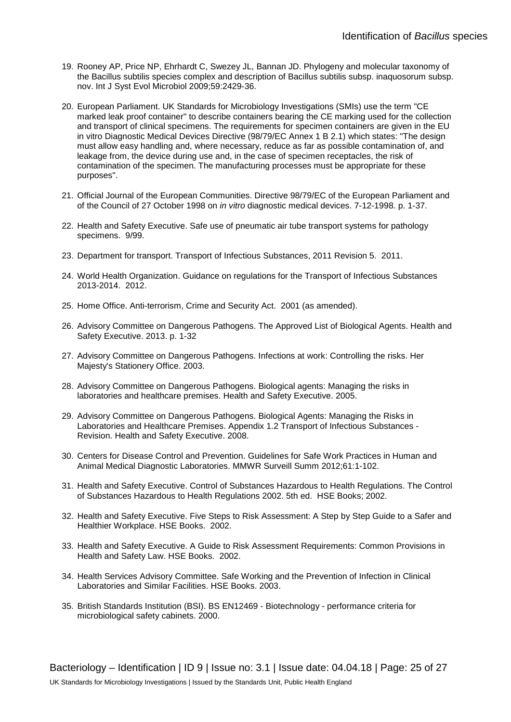- 19. Rooney AP, Price NP, Ehrhardt C, Swezey JL, Bannan JD. Phylogeny and molecular taxonomy of the Bacillus subtilis species complex and description of Bacillus subtilis subsp. inaquosorum subsp. nov. Int J Syst Evol Microbiol 2009;59:2429-36.
- 20. European Parliament. UK Standards for Microbiology Investigations (SMIs) use the term "CE marked leak proof container" to describe containers bearing the CE marking used for the collection and transport of clinical specimens. The requirements for specimen containers are given in the EU in vitro Diagnostic Medical Devices Directive (98/79/EC Annex 1 B 2.1) which states: "The design must allow easy handling and, where necessary, reduce as far as possible contamination of, and leakage from, the device during use and, in the case of specimen receptacles, the risk of contamination of the specimen. The manufacturing processes must be appropriate for these purposes".
- 21. Official Journal of the European Communities. Directive 98/79/EC of the European Parliament and of the Council of 27 October 1998 on *in vitro* diagnostic medical devices. 7-12-1998. p. 1-37.
- 22. Health and Safety Executive. Safe use of pneumatic air tube transport systems for pathology specimens. 9/99.
- 23. Department for transport. Transport of Infectious Substances, 2011 Revision 5. 2011.
- 24. World Health Organization. Guidance on regulations for the Transport of Infectious Substances 2013-2014. 2012.
- 25. Home Office. Anti-terrorism, Crime and Security Act. 2001 (as amended).
- 26. Advisory Committee on Dangerous Pathogens. The Approved List of Biological Agents. Health and Safety Executive. 2013. p. 1-32
- 27. Advisory Committee on Dangerous Pathogens. Infections at work: Controlling the risks. Her Majesty's Stationery Office. 2003.
- 28. Advisory Committee on Dangerous Pathogens. Biological agents: Managing the risks in laboratories and healthcare premises. Health and Safety Executive. 2005.
- 29. Advisory Committee on Dangerous Pathogens. Biological Agents: Managing the Risks in Laboratories and Healthcare Premises. Appendix 1.2 Transport of Infectious Substances - Revision. Health and Safety Executive. 2008.
- 30. Centers for Disease Control and Prevention. Guidelines for Safe Work Practices in Human and Animal Medical Diagnostic Laboratories. MMWR Surveill Summ 2012;61:1-102.
- 31. Health and Safety Executive. Control of Substances Hazardous to Health Regulations. The Control of Substances Hazardous to Health Regulations 2002. 5th ed. HSE Books; 2002.
- 32. Health and Safety Executive. Five Steps to Risk Assessment: A Step by Step Guide to a Safer and Healthier Workplace. HSE Books. 2002.
- 33. Health and Safety Executive. A Guide to Risk Assessment Requirements: Common Provisions in Health and Safety Law. HSE Books. 2002.
- 34. Health Services Advisory Committee. Safe Working and the Prevention of Infection in Clinical Laboratories and Similar Facilities. HSE Books. 2003.
- 35. British Standards Institution (BSI). BS EN12469 Biotechnology performance criteria for microbiological safety cabinets. 2000.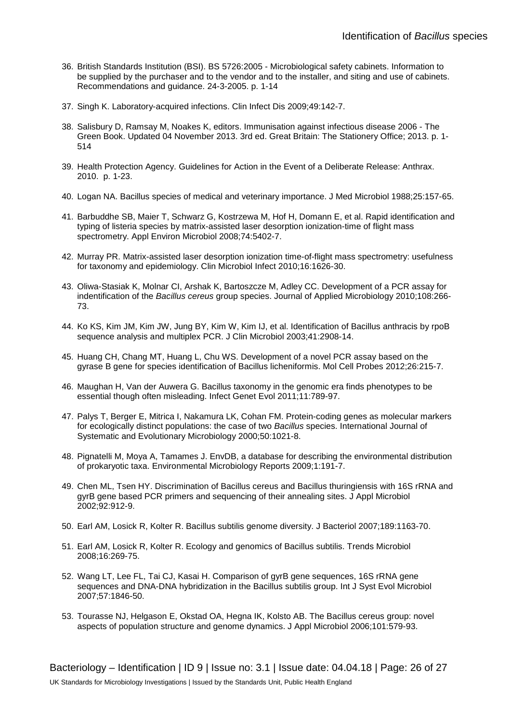- 36. British Standards Institution (BSI). BS 5726:2005 Microbiological safety cabinets. Information to be supplied by the purchaser and to the vendor and to the installer, and siting and use of cabinets. Recommendations and guidance. 24-3-2005. p. 1-14
- 37. Singh K. Laboratory-acquired infections. Clin Infect Dis 2009;49:142-7.
- 38. Salisbury D, Ramsay M, Noakes K, editors. Immunisation against infectious disease 2006 The Green Book. Updated 04 November 2013. 3rd ed. Great Britain: The Stationery Office; 2013. p. 1- 514
- 39. Health Protection Agency. Guidelines for Action in the Event of a Deliberate Release: Anthrax. 2010. p. 1-23.
- 40. Logan NA. Bacillus species of medical and veterinary importance. J Med Microbiol 1988;25:157-65.
- 41. Barbuddhe SB, Maier T, Schwarz G, Kostrzewa M, Hof H, Domann E, et al. Rapid identification and typing of listeria species by matrix-assisted laser desorption ionization-time of flight mass spectrometry. Appl Environ Microbiol 2008;74:5402-7.
- 42. Murray PR. Matrix-assisted laser desorption ionization time-of-flight mass spectrometry: usefulness for taxonomy and epidemiology. Clin Microbiol Infect 2010;16:1626-30.
- 43. Oliwa-Stasiak K, Molnar CI, Arshak K, Bartoszcze M, Adley CC. Development of a PCR assay for indentification of the *Bacillus cereus* group species. Journal of Applied Microbiology 2010;108:266- 73.
- 44. Ko KS, Kim JM, Kim JW, Jung BY, Kim W, Kim IJ, et al. Identification of Bacillus anthracis by rpoB sequence analysis and multiplex PCR. J Clin Microbiol 2003;41:2908-14.
- 45. Huang CH, Chang MT, Huang L, Chu WS. Development of a novel PCR assay based on the gyrase B gene for species identification of Bacillus licheniformis. Mol Cell Probes 2012;26:215-7.
- 46. Maughan H, Van der Auwera G. Bacillus taxonomy in the genomic era finds phenotypes to be essential though often misleading. Infect Genet Evol 2011;11:789-97.
- 47. Palys T, Berger E, Mitrica I, Nakamura LK, Cohan FM. Protein-coding genes as molecular markers for ecologically distinct populations: the case of two *Bacillus* species. International Journal of Systematic and Evolutionary Microbiology 2000;50:1021-8.
- 48. Pignatelli M, Moya A, Tamames J. EnvDB, a database for describing the environmental distribution of prokaryotic taxa. Environmental Microbiology Reports 2009;1:191-7.
- 49. Chen ML, Tsen HY. Discrimination of Bacillus cereus and Bacillus thuringiensis with 16S rRNA and gyrB gene based PCR primers and sequencing of their annealing sites. J Appl Microbiol 2002;92:912-9.
- 50. Earl AM, Losick R, Kolter R. Bacillus subtilis genome diversity. J Bacteriol 2007;189:1163-70.
- 51. Earl AM, Losick R, Kolter R. Ecology and genomics of Bacillus subtilis. Trends Microbiol 2008;16:269-75.
- 52. Wang LT, Lee FL, Tai CJ, Kasai H. Comparison of gyrB gene sequences, 16S rRNA gene sequences and DNA-DNA hybridization in the Bacillus subtilis group. Int J Syst Evol Microbiol 2007;57:1846-50.
- 53. Tourasse NJ, Helgason E, Okstad OA, Hegna IK, Kolsto AB. The Bacillus cereus group: novel aspects of population structure and genome dynamics. J Appl Microbiol 2006;101:579-93.